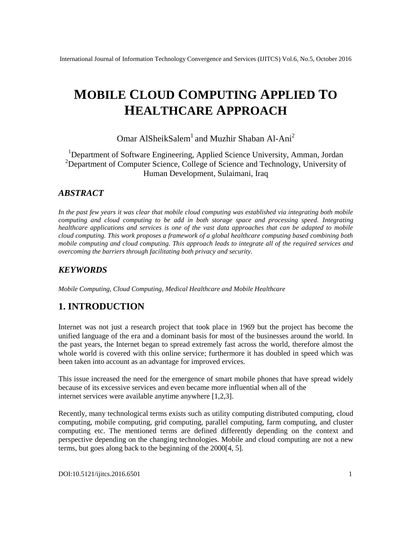# **MOBILE CLOUD COMPUTING APPLIED TO HEALTHCARE APPROACH**

Omar AlSheikSalem<sup>1</sup> and Muzhir Shaban Al-Ani<sup>2</sup>

<sup>1</sup>Department of Software Engineering, Applied Science University, Amman, Jordan <sup>2</sup>Department of Computer Science, College of Science and Technology, University of Human Development, Sulaimani, Iraq

#### *ABSTRACT*

*In the past few years it was clear that mobile cloud computing was established via integrating both mobile computing and cloud computing to be add in both storage space and processing speed. Integrating healthcare applications and services is one of the vast data approaches that can be adapted to mobile cloud computing. This work proposes a framework of a global healthcare computing based combining both mobile computing and cloud computing. This approach leads to integrate all of the required services and overcoming the barriers through facilitating both privacy and security.*

### *KEYWORDS*

*Mobile Computing, Cloud Computing, Medical Healthcare and Mobile Healthcare*

### **1. INTRODUCTION**

Internet was not just a research project that took place in 1969 but the project has become the unified language of the era and a dominant basis for most of the businesses around the world. In the past years, the Internet began to spread extremely fast across the world, therefore almost the whole world is covered with this online service; furthermore it has doubled in speed which was been taken into account as an advantage for improved ervices.

This issue increased the need for the emergence of smart mobile phones that have spread widely because of its excessive services and even became more influential when all of the internet services were available anytime anywhere [1,2,3].

Recently, many technological terms exists such as utility computing distributed computing, cloud computing, mobile computing, grid computing, parallel computing, farm computing, and cluster computing etc. The mentioned terms are defined differently depending on the context and perspective depending on the changing technologies. Mobile and cloud computing are not a new terms, but goes along back to the beginning of the 2000[4, 5].

DOI:10.5121/ijitcs.2016.6501 1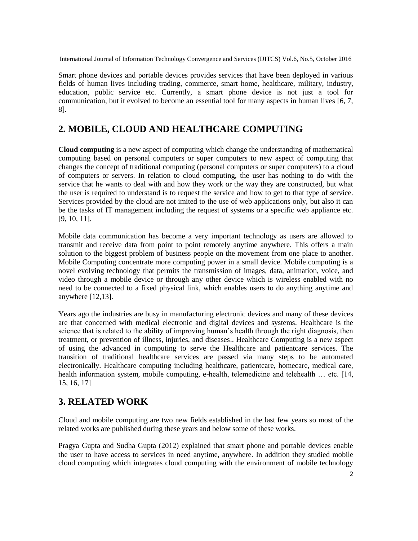Smart phone devices and portable devices provides services that have been deployed in various fields of human lives including trading, commerce, smart home, healthcare, military, industry, education, public service etc. Currently, a smart phone device is not just a tool for communication, but it evolved to become an essential tool for many aspects in human lives [6, 7, 8].

# **2. MOBILE, CLOUD AND HEALTHCARE COMPUTING**

**Cloud computing** is a new aspect of computing which change the understanding of mathematical computing based on personal computers or super computers to new aspect of computing that changes the concept of traditional computing (personal computers or super computers) to a cloud of computers or servers. In relation to cloud computing, the user has nothing to do with the service that he wants to deal with and how they work or the way they are constructed, but what the user is required to understand is to request the service and how to get to that type of service. Services provided by the cloud are not imited to the use of web applications only, but also it can be the tasks of IT management including the request of systems or a specific web appliance etc. [9, 10, 11].

Mobile data communication has become a very important technology as users are allowed to transmit and receive data from point to point remotely anytime anywhere. This offers a main solution to the biggest problem of business people on the movement from one place to another. Mobile Computing concentrate more computing power in a small device. Mobile computing is a novel evolving technology that permits the transmission of images, data, animation, voice, and video through a mobile device or through any other device which is wireless enabled with no need to be connected to a fixed physical link, which enables users to do anything anytime and anywhere [12,13].

Years ago the industries are busy in manufacturing electronic devices and many of these devices are that concerned with medical electronic and digital devices and systems. Healthcare is the science that is related to the ability of improving human's health through the right diagnosis, then treatment, or prevention of illness, injuries, and diseases.. Healthcare Computing is a new aspect of using the advanced in computing to serve the Healthcare and patientcare services. The transition of traditional healthcare services are passed via many steps to be automated electronically. Healthcare computing including healthcare, patientcare, homecare, medical care, health information system, mobile computing, e-health, telemedicine and telehealth ... etc. [14, 15, 16, 17]

## **3. RELATED WORK**

Cloud and mobile computing are two new fields established in the last few years so most of the related works are published during these years and below some of these works.

Pragya Gupta and Sudha Gupta (2012) explained that smart phone and portable devices enable the user to have access to services in need anytime, anywhere. In addition they studied mobile cloud computing which integrates cloud computing with the environment of mobile technology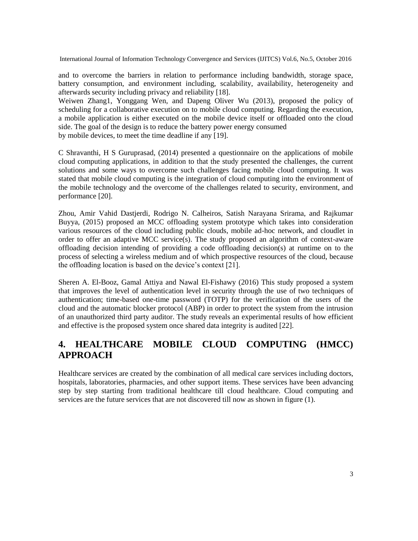and to overcome the barriers in relation to performance including bandwidth, storage space, battery consumption, and environment including, scalability, availability, heterogeneity and afterwards security including privacy and reliability [18].

Weiwen Zhang1, Yonggang Wen, and Dapeng Oliver Wu (2013), proposed the policy of scheduling for a collaborative execution on to mobile cloud computing. Regarding the execution, a mobile application is either executed on the mobile device itself or offloaded onto the cloud side. The goal of the design is to reduce the battery power energy consumed

by mobile devices, to meet the time deadline if any [19].

C Shravanthi, H S Guruprasad, (2014) presented a questionnaire on the applications of mobile cloud computing applications, in addition to that the study presented the challenges, the current solutions and some ways to overcome such challenges facing mobile cloud computing. It was stated that mobile cloud computing is the integration of cloud computing into the environment of the mobile technology and the overcome of the challenges related to security, environment, and performance [20].

Zhou, Amir Vahid Dastjerdi, Rodrigo N. Calheiros, Satish Narayana Srirama, and Rajkumar Buyya, (2015) proposed an MCC offloading system prototype which takes into consideration various resources of the cloud including public clouds, mobile ad-hoc network, and cloudlet in order to offer an adaptive MCC service(s). The study proposed an algorithm of context-aware offloading decision intending of providing a code offloading decision(s) at runtime on to the process of selecting a wireless medium and of which prospective resources of the cloud, because the offloading location is based on the device's context [21].

Sheren A. El-Booz, Gamal Attiya and Nawal El-Fishawy (2016) This study proposed a system that improves the level of authentication level in security through the use of two techniques of authentication; time-based one-time password (TOTP) for the verification of the users of the cloud and the automatic blocker protocol (ABP) in order to protect the system from the intrusion of an unauthorized third party auditor. The study reveals an experimental results of how efficient and effective is the proposed system once shared data integrity is audited [22].

# **4. HEALTHCARE MOBILE CLOUD COMPUTING (HMCC) APPROACH**

Healthcare services are created by the combination of all medical care services including doctors, hospitals, laboratories, pharmacies, and other support items. These services have been advancing step by step starting from traditional healthcare till cloud healthcare. Cloud computing and services are the future services that are not discovered till now as shown in figure (1).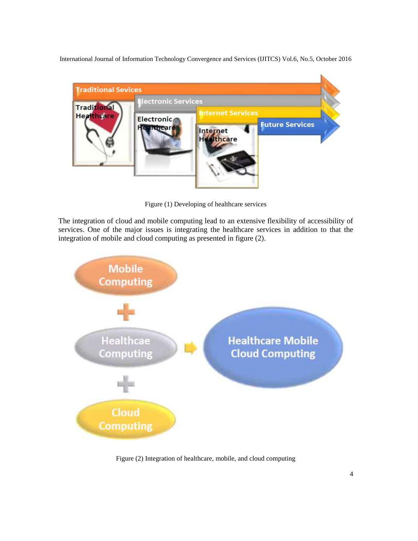

Figure (1) Developing of healthcare services

The integration of cloud and mobile computing lead to an extensive flexibility of accessibility of services. One of the major issues is integrating the healthcare services in addition to that the integration of mobile and cloud computing as presented in figure (2).



Figure (2) Integration of healthcare, mobile, and cloud computing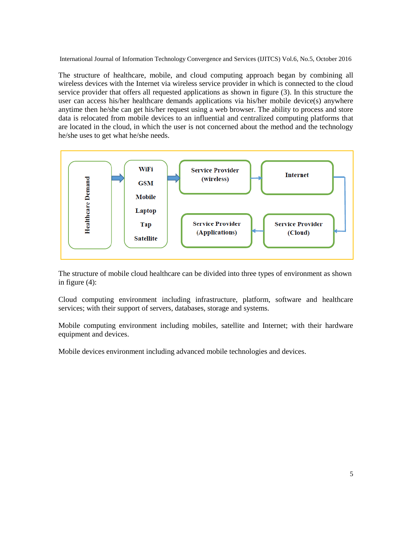The structure of healthcare, mobile, and cloud computing approach began by combining all wireless devices with the Internet via wireless service provider in which is connected to the cloud service provider that offers all requested applications as shown in figure (3). In this structure the user can access his/her healthcare demands applications via his/her mobile device(s) anywhere anytime then he/she can get his/her request using a web browser. The ability to process and store data is relocated from mobile devices to an influential and centralized computing platforms that are located in the cloud, in which the user is not concerned about the method and the technology he/she uses to get what he/she needs.



The structure of mobile cloud healthcare can be divided into three types of environment as shown in figure (4):

Cloud computing environment including infrastructure, platform, software and healthcare services; with their support of servers, databases, storage and systems.

Mobile computing environment including mobiles, satellite and Internet; with their hardware equipment and devices.

Mobile devices environment including advanced mobile technologies and devices.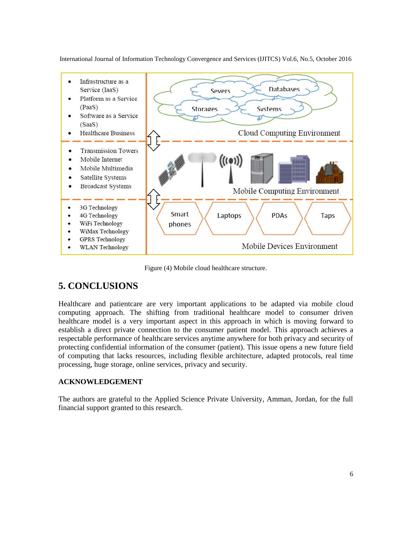

Figure (4) Mobile cloud healthcare structure.

## **5. CONCLUSIONS**

Healthcare and patientcare are very important applications to be adapted via mobile cloud computing approach. The shifting from traditional healthcare model to consumer driven healthcare model is a very important aspect in this approach in which is moving forward to establish a direct private connection to the consumer patient model. This approach achieves a respectable performance of healthcare services anytime anywhere for both privacy and security of protecting confidential information of the consumer (patient). This issue opens a new future field of computing that lacks resources, including flexible architecture, adapted protocols, real time processing, huge storage, online services, privacy and security.

#### **ACKNOWLEDGEMENT**

The authors are grateful to the Applied Science Private University, Amman, Jordan, for the full financial support granted to this research.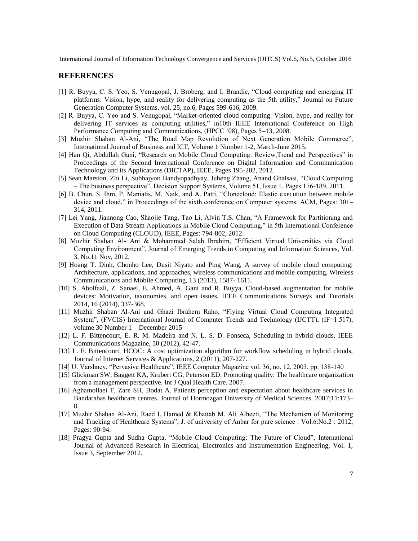#### **REFERENCES**

- [1] R. Buyya, C. S. Yeo, S. Venugopal, J. Broberg, and I. Brandic, "Cloud computing and emerging IT platforms: Vision, hype, and reality for delivering computing as the 5th utility," Journal on Future Generation Computer Systems, vol. 25, no.6, Pages 599-616, 2009.
- [2] R. Buyya, C. Yeo and S. Venugopal, "Market-oriented cloud computing: Vision, hype, and reality for delivering IT services as computing utilities," in10th IEEE International Conference on High Performance Computing and Communications, (HPCC '08), Pages 5–13, 2008.
- [3] Muzhir Shaban Al-Ani, "The Road Map Revolution of Next Generation Mobile Commerce", International Journal of Business and ICT, Volume 1 Number 1-2, March-June 2015.
- [4] Han Qi, Abdullah Gani, "Research on Mobile Cloud Computing: Review,Trend and Perspectives" in Proceedings of the Second International Conference on Digital Information and Communication Technology and its Applications (DICTAP), IEEE, Pages 195-202, 2012.
- [5] Sean Marston, Zhi Li, Subhajyoti Bandyopadhyay, Juheng Zhang, Anand Ghalsasi, "Cloud Computing – The business perspective", Decision Support Systems, Volume 51, Issue 1, Pages 176-189, 2011.
- [6] B. Chun, S. Ihm, P. Maniatis, M. Naik, and A. Patti, "Clonecloud: Elastic execution between mobile device and cloud," in Proceedings of the sixth conference on Computer systems. ACM, Pages: 301– 314, 2011.
- [7] Lei Yang, Jiannong Cao, Shaojie Tang, Tao Li, Alvin T.S. Chan, "A Framework for Partitioning and Execution of Data Stream Applications in Mobile Cloud Computing," in 5th International Conference on Cloud Computing (CLOUD), IEEE, Pages: 794-802, 2012.
- [8] Muzhir Shaban Al- Ani & Mohammed Salah Ibrahim, "Efficient Virtual Universities via Cloud Computing Environment", Journal of Emerging Trends in Computing and Information Sciences, Vol. 3, No.11 Nov, 2012.
- [9] Hoang T. Dinh, Chonho Lee, Dusit Niyato and Ping Wang, A survey of mobile cloud computing: Architecture, applications, and approaches, wireless communications and mobile computing, Wireless Communications and Mobile Computing, 13 (2013), 1587- 1611.
- [10] S. Abolfazli, Z. Sanaei, E. Ahmed, A. Gani and R. Buyya, Cloud-based augmentation for mobile devices: Motivation, taxonomies, and open issues, IEEE Communications Surveys and Tutorials 2014, 16 (2014), 337-368.
- [11] Muzhir Shaban Al-Ani and Ghazi Ibrahem Raho, "Flying Virtual Cloud Computing Integrated System", (FVCIS) International Journal of Computer Trends and Technology (IJCTT), (IF=1.517), volume 30 Number 1 – December 2015
- [12] L. F. Bittencourt, E. R. M. Madeira and N. L. S. D. Fonseca, Scheduling in hybrid clouds, IEEE Communications Magazine, 50 (2012), 42-47.
- [13] L. F. Bittencourt, HCOC: A cost optimization algorithm for workflow scheduling in hybrid clouds, Journal of Internet Services & Applications, 2 (2011), 207-227.
- [14] U. Varshney, "Pervasive Healthcare", IEEE Computer Magazine vol. 36, no. 12, 2003, pp. 138-140
- [15] Glickman SW, Baggett KA, Krubert CG, Peterson ED. Promoting quality: The healthcare organization from a management perspective. Int J Qual Health Care. 2007.
- [16] Aghamollaei T, Zare SH, Bodat A. Patients perception and expectation about healthcare services in Bandarabas healthcare centres. Journal of Hormozgan University of Medical Sciences. 2007;11:173– 8.
- [17] Muzhir Shaban Al-Ani, Raed I. Hamed & Khattab M. Ali Alheeti, "The Mechanism of Monitoring and Tracking of Healthcare Systems", J. of university of Anbar for pure science : Vol.6:No.2 : 2012, Pages: 90-94.
- [18] Pragya Gupta and Sudha Gupta, "Mobile Cloud Computing: The Future of Cloud", International Journal of Advanced Research in Electrical, Electronics and Instrumentation Engineering, Vol. 1, Issue 3, September 2012.